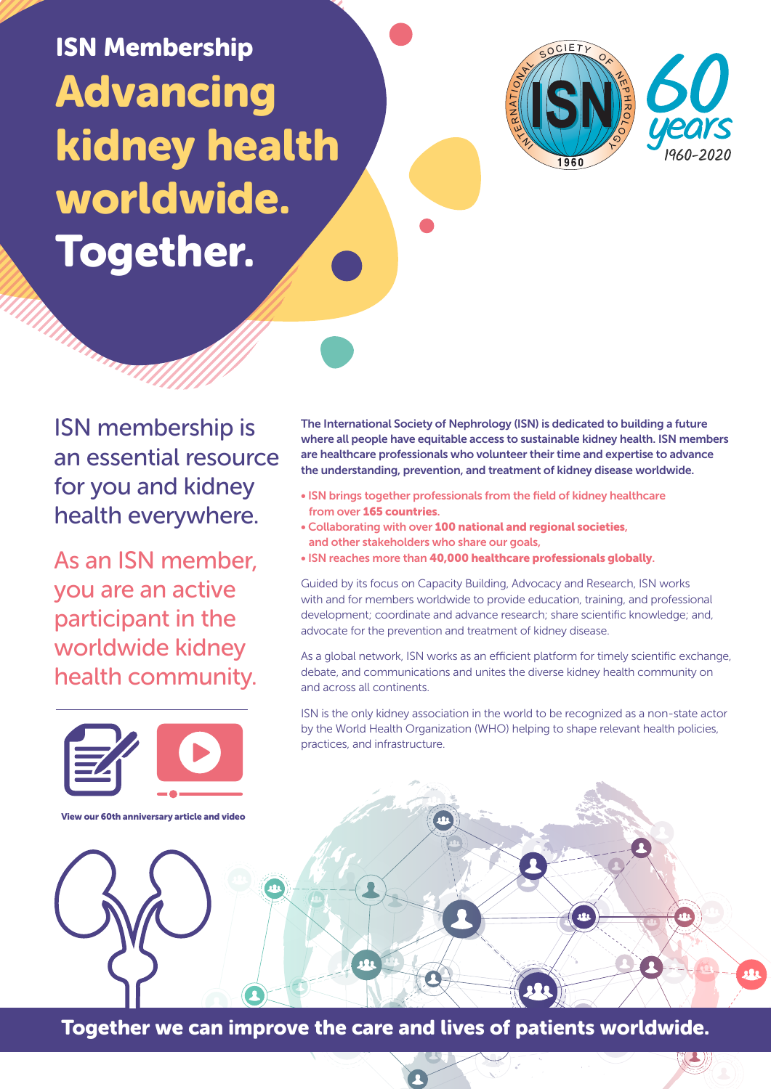Advancing kidney health worldwide. Together. ISN Membership



ISN membership is an essential resource for you and kidney health everywhere.

As an ISN member, you are an active participant in the worldwide kidney health community.



View our 60th anniversary article and video

The International Society of Nephrology (ISN) is dedicated to building a future where all people have equitable access to sustainable kidney health. ISN members are healthcare professionals who volunteer their time and expertise to advance the understanding, prevention, and treatment of kidney disease worldwide.

- ISN brings together professionals from the field of kidney healthcare from over 165 countries.
- Collaborating with over 100 national and regional societies, and other stakeholders who share our goals,
- ISN reaches more than 40,000 healthcare professionals globally.

Guided by its focus on Capacity Building, Advocacy and Research, ISN works with and for members worldwide to provide education, training, and professional development; coordinate and advance research; share scientific knowledge; and, advocate for the prevention and treatment of kidney disease.

As a global network, ISN works as an efficient platform for timely scientific exchange, debate, and communications and unites the diverse kidney health community on and across all continents.

ISN is the only kidney association in the world to be recognized as a non-state actor by the World Health Organization (WHO) helping to shape relevant health policies, practices, and infrastructure.

**SAR** 

Together we can improve the care and lives of patients worldwide.

 $\Omega$ 

**A**